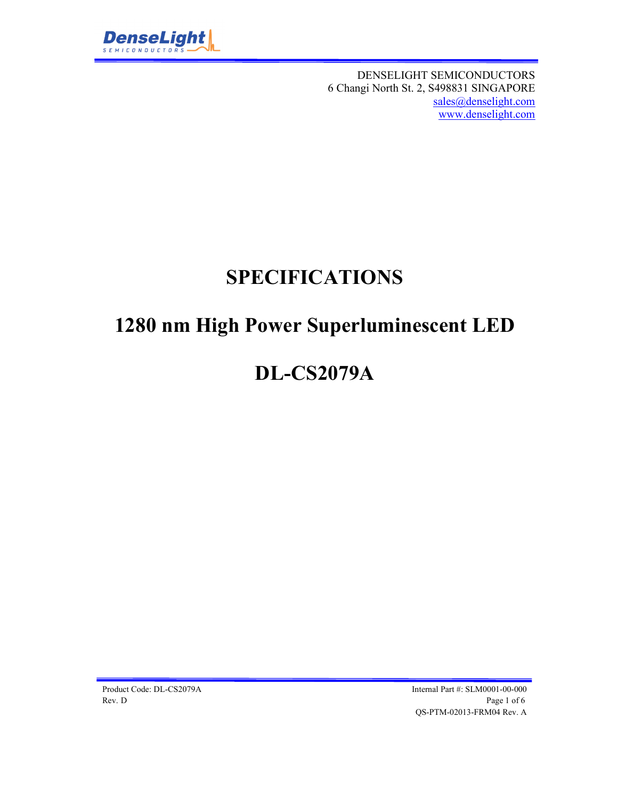

DENSELIGHT SEMICONDUCTORS 6 Changi North St. 2, S498831 SINGAPORE sales@denselight.com www.denselight.com

## **SPECIFICATIONS**

## **1280 nm High Power Superluminescent LED**

# **DL-CS2079A**

Product Code: DL-CS2079A Internal Part #: SLM0001-00-000 Rev. D Page 1 of 6 QS-PTM-02013-FRM04 Rev. A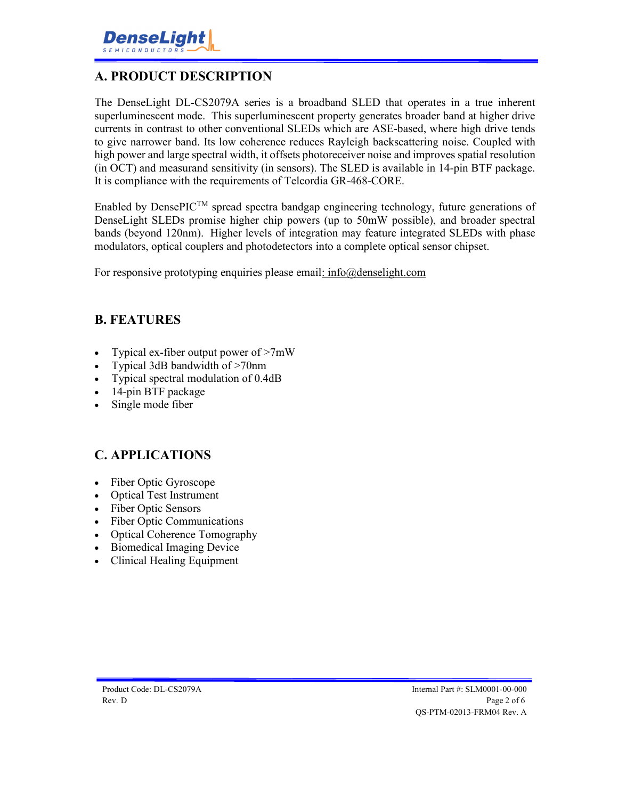

#### **A. PRODUCT DESCRIPTION**

The DenseLight DL-CS2079A series is a broadband SLED that operates in a true inherent superluminescent mode. This superluminescent property generates broader band at higher drive currents in contrast to other conventional SLEDs which are ASE-based, where high drive tends to give narrower band. Its low coherence reduces Rayleigh backscattering noise. Coupled with high power and large spectral width, it offsets photoreceiver noise and improves spatial resolution (in OCT) and measurand sensitivity (in sensors). The SLED is available in 14-pin BTF package. It is compliance with the requirements of Telcordia GR-468-CORE.

Enabled by DensePIC<sup>TM</sup> spread spectra bandgap engineering technology, future generations of DenseLight SLEDs promise higher chip powers (up to 50mW possible), and broader spectral bands (beyond 120nm). Higher levels of integration may feature integrated SLEDs with phase modulators, optical couplers and photodetectors into a complete optical sensor chipset.

For responsive prototyping enquiries please email: info@denselight.com

#### **B. FEATURES**

- Typical ex-fiber output power of  $>7mW$
- Typical 3dB bandwidth of >70nm
- Typical spectral modulation of 0.4dB
- 14-pin BTF package
- Single mode fiber

#### **C. APPLICATIONS**

- Fiber Optic Gyroscope
- Optical Test Instrument
- Fiber Optic Sensors
- Fiber Optic Communications
- Optical Coherence Tomography
- Biomedical Imaging Device
- Clinical Healing Equipment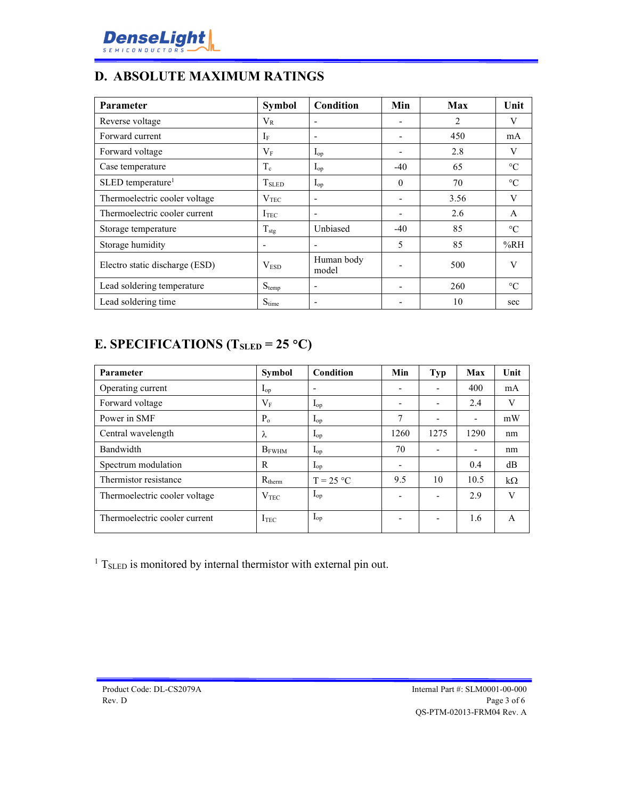

### **D. ABSOLUTE MAXIMUM RATINGS**

| Parameter                      | <b>Symbol</b>            | <b>Condition</b>         | Min                      | <b>Max</b>     | Unit            |
|--------------------------------|--------------------------|--------------------------|--------------------------|----------------|-----------------|
| Reverse voltage                | $V_{R}$                  |                          |                          | $\overline{2}$ | V               |
| Forward current                | $\rm I_{F}$              | $\overline{\phantom{a}}$ |                          | 450            | mA              |
| Forward voltage                | $V_{\rm F}$              | $I_{op}$                 |                          | 2.8            | V               |
| Case temperature               | $T_c$                    | $I_{op}$                 | $-40$                    | 65             | $\rm ^{\circ}C$ |
| SLED temperature <sup>1</sup>  | <b>T</b> <sub>SLED</sub> | $I_{op}$                 | $\theta$                 | 70             | $\rm ^{\circ}C$ |
| Thermoelectric cooler voltage  | $\rm V_{TEC}$            |                          |                          | 3.56           | V               |
| Thermoelectric cooler current  | <b>ITEC</b>              |                          | $\overline{\phantom{a}}$ | 2.6            | $\mathsf{A}$    |
| Storage temperature            | $T_{\text{stg}}$         | Unbiased                 | $-40$                    | 85             | $\rm ^{\circ}C$ |
| Storage humidity               |                          |                          | 5                        | 85             | %RH             |
| Electro static discharge (ESD) | V <sub>ESD</sub>         | Human body<br>model      |                          | 500            | V               |
| Lead soldering temperature     | $S_{temp}$               | ۰                        |                          | 260            | $\rm ^{\circ}C$ |
| Lead soldering time            | $S_{time}$               |                          |                          | 10             | sec             |

### **E. SPECIFICATIONS (TSLED = 25 C)**

| Parameter                     | Symbol           | Condition                | Min                      | <b>Typ</b> | Max                      | Unit      |
|-------------------------------|------------------|--------------------------|--------------------------|------------|--------------------------|-----------|
| Operating current             | $I_{op}$         | $\overline{\phantom{a}}$ | $\overline{\phantom{a}}$ |            | 400                      | mA        |
| Forward voltage               | $V_{\rm F}$      | $I_{op}$                 | $\overline{\phantom{0}}$ |            | 2.4                      | V         |
| Power in SMF                  | $P_{o}$          | $I_{op}$                 | 7                        |            | $\overline{\phantom{0}}$ | mW        |
| Central wavelength            | λ                | $I_{op}$                 | 1260                     | 1275       | 1290                     | nm        |
| Bandwidth                     | $B_{FWHM}$       | $I_{op}$                 | 70                       |            | $\overline{\phantom{a}}$ | nm        |
| Spectrum modulation           | R                | $I_{op}$                 | $\overline{\phantom{a}}$ |            | 0.4                      | dB        |
| Thermistor resistance         | $R_{therm}$      | $T = 25 °C$              | 9.5                      | 10         | 10.5                     | $k\Omega$ |
| Thermoelectric cooler voltage | V <sub>TEC</sub> | $I_{op}$                 | $\overline{\phantom{0}}$ |            | 2.9                      | V         |
| Thermoelectric cooler current | <b>ITEC</b>      | $I_{op}$                 | $\overline{\phantom{a}}$ |            | 1.6                      | A         |

<sup>1</sup> T<sub>SLED</sub> is monitored by internal thermistor with external pin out.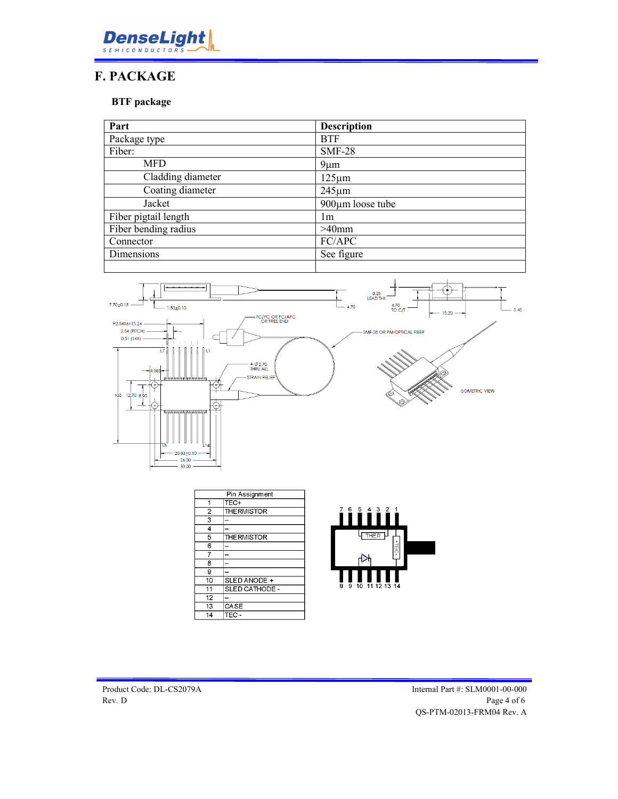

### **F. PACKAGE**

**BTF package** 

| <b>Description</b>     |  |
|------------------------|--|
| <b>BTF</b>             |  |
| $SMF-28$               |  |
| $9 \mu m$              |  |
| $125 \mu m$            |  |
| $245 \mu m$            |  |
| $900 \mu m$ loose tube |  |
| lm                     |  |
| $>40$ mm               |  |
| FC/APC                 |  |
| See figure             |  |
|                        |  |



| Pin Assignment |                    |
|----------------|--------------------|
| 1              | TEC+               |
| $\overline{2}$ | <b>THE RMISTOR</b> |
| 3              |                    |
| 4              |                    |
| 5              | <b>THE RMISTOR</b> |
| 6              |                    |
| 7              |                    |
| 8              |                    |
| 9              |                    |
| 10             | SLED ANODE +       |
| 11             | SLED CATHODE -     |
| 12             |                    |
| 13             | CASE               |
| 14             | TEC                |

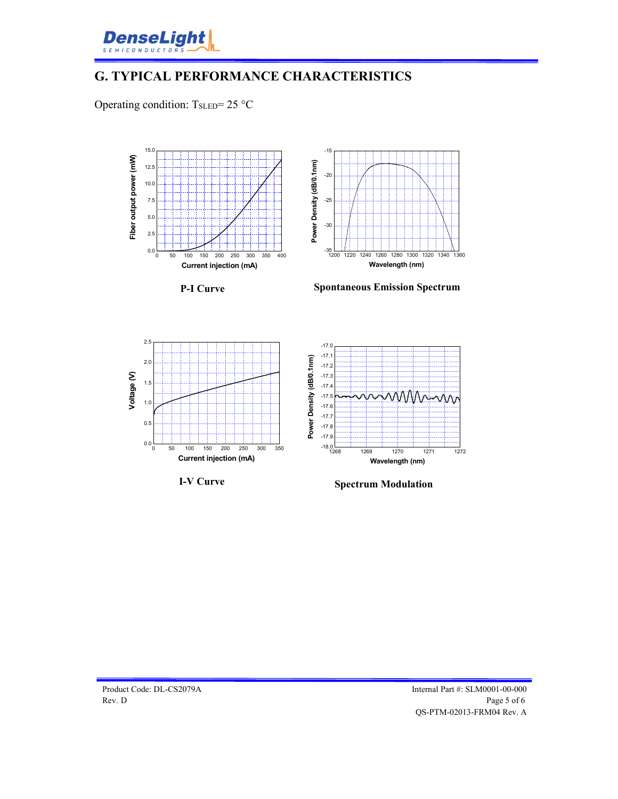

### **G. TYPICAL PERFORMANCE CHARACTERISTICS**

Operating condition:  $T_{SLED} = 25$  °C



**I-V Curve**